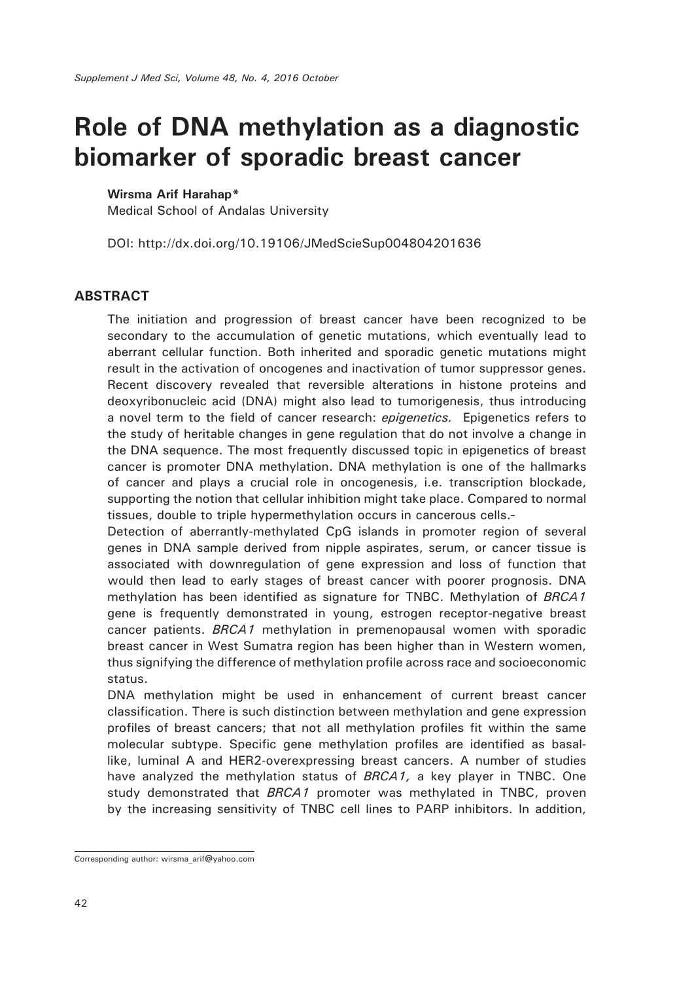## **Role of DNA methylation as a diagnostic biomarker of sporadic breast cancer**

## **Wirsma Arif Harahap\***

Medical School of Andalas University

DOI: http://dx.doi.org/10.19106/JMedScieSup004804201636

## **ABSTRACT**

The initiation and progression of breast cancer have been recognized to be secondary to the accumulation of genetic mutations, which eventually lead to aberrant cellular function. Both inherited and sporadic genetic mutations might result in the activation of oncogenes and inactivation of tumor suppressor genes. Recent discovery revealed that reversible alterations in histone proteins and deoxyribonucleic acid (DNA) might also lead to tumorigenesis, thus introducing a novel term to the field of cancer research: *epigenetics.* Epigenetics refers to the study of heritable changes in gene regulation that do not involve a change in the DNA sequence. The most frequently discussed topic in epigenetics of breast cancer is promoter DNA methylation. DNA methylation is one of the hallmarks of cancer and plays a crucial role in oncogenesis, i.e. transcription blockade, supporting the notion that cellular inhibition might take place. Compared to normal tissues, double to triple hypermethylation occurs in cancerous cells.

Detection of aberrantly-methylated CpG islands in promoter region of several genes in DNA sample derived from nipple aspirates, serum, or cancer tissue is associated with downregulation of gene expression and loss of function that would then lead to early stages of breast cancer with poorer prognosis. DNA methylation has been identified as signature for TNBC. Methylation of *BRCA1* gene is frequently demonstrated in young, estrogen receptor-negative breast cancer patients. *BRCA1* methylation in premenopausal women with sporadic breast cancer in West Sumatra region has been higher than in Western women, thus signifying the difference of methylation profile across race and socioeconomic status.

DNA methylation might be used in enhancement of current breast cancer classification. There is such distinction between methylation and gene expression profiles of breast cancers; that not all methylation profiles fit within the same molecular subtype. Specific gene methylation profiles are identified as basallike, luminal A and HER2-overexpressing breast cancers. A number of studies have analyzed the methylation status of *BRCA1,* a key player in TNBC. One study demonstrated that *BRCA1* promoter was methylated in TNBC, proven by the increasing sensitivity of TNBC cell lines to PARP inhibitors. In addition,

Corresponding author: wirsma\_arif@yahoo.com